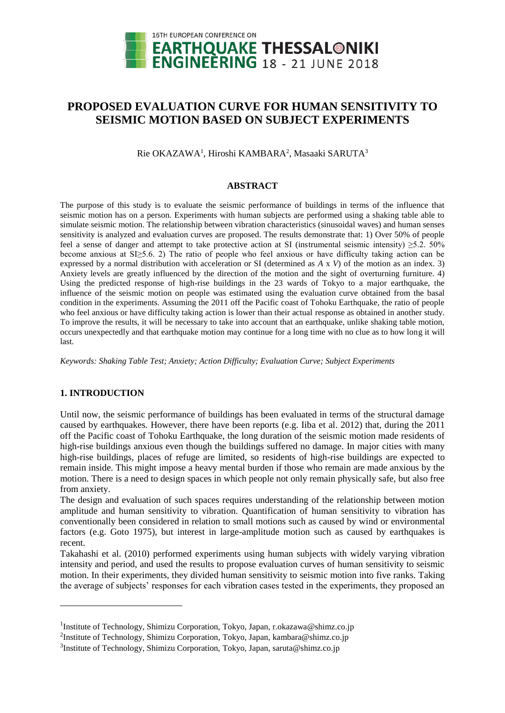

# **PROPOSED EVALUATION CURVE FOR HUMAN SENSITIVITY TO SEISMIC MOTION BASED ON SUBJECT EXPERIMENTS**

Rie OKAZAWA<sup>1</sup>, Hiroshi KAMBARA<sup>2</sup>, Masaaki SARUTA<sup>3</sup>

### **ABSTRACT**

The purpose of this study is to evaluate the seismic performance of buildings in terms of the influence that seismic motion has on a person. Experiments with human subjects are performed using a shaking table able to simulate seismic motion. The relationship between vibration characteristics (sinusoidal waves) and human senses sensitivity is analyzed and evaluation curves are proposed. The results demonstrate that: 1) Over 50% of people feel a sense of danger and attempt to take protective action at SI (instrumental seismic intensity)  $\geq 5.2$ . 50% become anxious at SI≥5.6. 2) The ratio of people who feel anxious or have difficulty taking action can be expressed by a normal distribution with acceleration or SI (determined as *A* x *V*) of the motion as an index. 3) Anxiety levels are greatly influenced by the direction of the motion and the sight of overturning furniture. 4) Using the predicted response of high-rise buildings in the 23 wards of Tokyo to a major earthquake, the influence of the seismic motion on people was estimated using the evaluation curve obtained from the basal condition in the experiments. Assuming the 2011 off the Pacific coast of Tohoku Earthquake, the ratio of people who feel anxious or have difficulty taking action is lower than their actual response as obtained in another study. To improve the results, it will be necessary to take into account that an earthquake, unlike shaking table motion, occurs unexpectedly and that earthquake motion may continue for a long time with no clue as to how long it will last.

*Keywords: Shaking Table Test; Anxiety; Action Difficulty; Evaluation Curve; Subject Experiments* 

## **1. INTRODUCTION**

l

Until now, the seismic performance of buildings has been evaluated in terms of the structural damage caused by earthquakes. However, there have been reports (e.g. Iiba et al. 2012) that, during the  $2011$ off the Pacific coast of Tohoku Earthquake, the long duration of the seismic motion made residents of high-rise buildings anxious even though the buildings suffered no damage. In major cities with many high-rise buildings, places of refuge are limited, so residents of high-rise buildings are expected to remain inside. This might impose a heavy mental burden if those who remain are made anxious by the motion. There is a need to design spaces in which people not only remain physically safe, but also free from anxiety.

The design and evaluation of such spaces requires understanding of the relationship between motion amplitude and human sensitivity to vibration. Quantification of human sensitivity to vibration has conventionally been considered in relation to small motions such as caused by wind or environmental factors (e.g. Goto 1975), but interest in large-amplitude motion such as caused by earthquakes is recent.

Takahashi et al. (2010) performed experiments using human subjects with widely varying vibration intensity and period, and used the results to propose evaluation curves of human sensitivity to seismic motion. In their experiments, they divided human sensitivity to seismic motion into five ranks. Taking the average of subjects' responses for each vibration cases tested in the experiments, they proposed an

<sup>&</sup>lt;sup>1</sup>Institute of Technology, Shimizu Corporation, Tokyo, Japan, r.okazawa@shimz.co.jp

<sup>&</sup>lt;sup>2</sup>Institute of Technology, Shimizu Corporation, Tokyo, Japan, kambara@shimz.co.jp

<sup>&</sup>lt;sup>3</sup>Institute of Technology, Shimizu Corporation, Tokyo, Japan, saruta@shimz.co.jp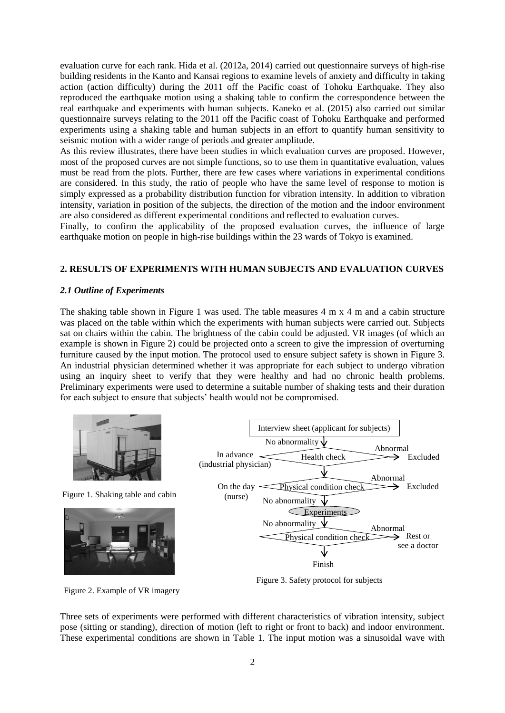evaluation curve for each rank. Hida et al. (2012a, 2014) carried out questionnaire surveys of high-rise building residents in the Kanto and Kansai regions to examine levels of anxiety and difficulty in taking action (action difficulty) during the 2011 off the Pacific coast of Tohoku Earthquake. They also reproduced the earthquake motion using a shaking table to confirm the correspondence between the real earthquake and experiments with human subjects. Kaneko et al. (2015) also carried out similar questionnaire surveys relating to the 2011 off the Pacific coast of Tohoku Earthquake and performed experiments using a shaking table and human subjects in an effort to quantify human sensitivity to seismic motion with a wider range of periods and greater amplitude.

As this review illustrates, there have been studies in which evaluation curves are proposed. However, most of the proposed curves are not simple functions, so to use them in quantitative evaluation, values must be read from the plots. Further, there are few cases where variations in experimental conditions are considered. In this study, the ratio of people who have the same level of response to motion is simply expressed as a probability distribution function for vibration intensity. In addition to vibration intensity, variation in position of the subjects, the direction of the motion and the indoor environment are also considered as different experimental conditions and reflected to evaluation curves.

Finally, to confirm the applicability of the proposed evaluation curves, the influence of large earthquake motion on people in high-rise buildings within the 23 wards of Tokyo is examined.

## **2. RESULTS OF EXPERIMENTS WITH HUMAN SUBJECTS AND EVALUATION CURVES**

### *2.1 Outline of Experiments*

The shaking table shown in Figure 1 was used. The table measures  $4 \text{ m } \times 4 \text{ m }$  and a cabin structure was placed on the table within which the experiments with human subjects were carried out. Subjects sat on chairs within the cabin. The brightness of the cabin could be adjusted. VR images (of which an example is shown in Figure 2) could be projected onto a screen to give the impression of overturning furniture caused by the input motion. The protocol used to ensure subject safety is shown in Figure 3. An industrial physician determined whether it was appropriate for each subject to undergo vibration using an inquiry sheet to verify that they were healthy and had no chronic health problems. Preliminary experiments were used to determine a suitable number of shaking tests and their duration for each subject to ensure that subjects' health would not be compromised.



Figure 1. Shaking table and cabin



Figure 2. Example of VR imagery



Figure 3. Safety protocol for subjects

Three sets of experiments were performed with different characteristics of vibration intensity, subject pose (sitting or standing), direction of motion (left to right or front to back) and indoor environment. These experimental conditions are shown in Table 1. The input motion was a sinusoidal wave with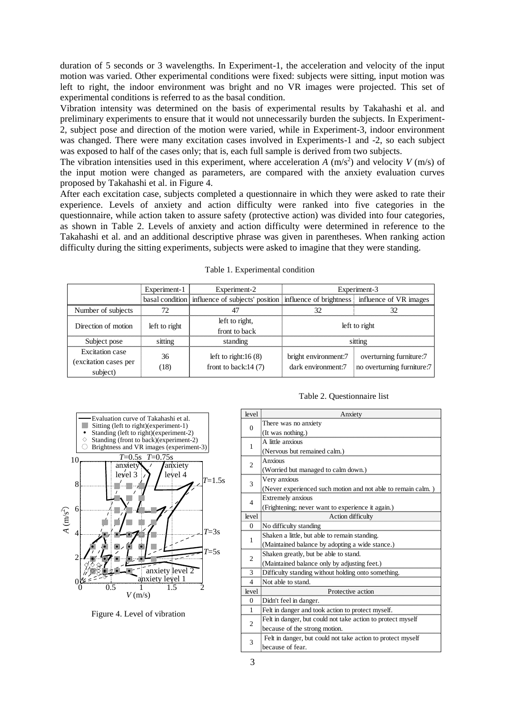duration of 5 seconds or 3 wavelengths. In Experiment-1, the acceleration and velocity of the input motion was varied. Other experimental conditions were fixed: subjects were sitting, input motion was left to right, the indoor environment was bright and no VR images were projected. This set of experimental conditions is referred to as the basal condition.

Vibration intensity was determined on the basis of experimental results by Takahashi et al. and preliminary experiments to ensure that it would not unnecessarily burden the subjects. In Experiment-2, subject pose and direction of the motion were varied, while in Experiment-3, indoor environment was changed. There were many excitation cases involved in Experiments-1 and -2, so each subject was exposed to half of the cases only; that is, each full sample is derived from two subjects.

The vibration intensities used in this experiment, where acceleration  $A(m/s^2)$  and velocity  $V(m/s)$  of the input motion were changed as parameters, are compared with the anxiety evaluation curves proposed by Takahashi et al. in Figure 4.

After each excitation case, subjects completed a questionnaire in which they were asked to rate their experience. Levels of anxiety and action difficulty were ranked into five categories in the questionnaire, while action taken to assure safety (protective action) was divided into four categories, as shown in Table 2. Levels of anxiety and action difficulty were determined in reference to the Takahashi et al. and an additional descriptive phrase was given in parentheses. When ranking action difficulty during the sitting experiments, subjects were asked to imagine that they were standing.

|                                                      | Experiment-1  | Experiment-2                                                                                   | Experiment-3                               |                                                       |  |
|------------------------------------------------------|---------------|------------------------------------------------------------------------------------------------|--------------------------------------------|-------------------------------------------------------|--|
|                                                      |               | basal condition influence of subjects' position influence of brightness influence of VR images |                                            |                                                       |  |
| Number of subjects                                   | 72            |                                                                                                |                                            | 32                                                    |  |
| Direction of motion                                  | left to right | left to right,                                                                                 | left to right                              |                                                       |  |
|                                                      |               | front to back                                                                                  |                                            |                                                       |  |
| Subject pose                                         | sitting       | standing                                                                                       | sitting                                    |                                                       |  |
| Excitation case<br>(excitation cases per<br>subject) | 36<br>(18)    | left to right: $16(8)$<br>front to back: $14(7)$                                               | bright environment:7<br>dark environment:7 | overturning furniture:7<br>no overturning furniture:7 |  |

|  | Table 1. Experimental condition |  |
|--|---------------------------------|--|
|  |                                 |  |



|  | Table 2. Questionnaire list |  |
|--|-----------------------------|--|
|--|-----------------------------|--|

| level          | Anxiety                                                      |
|----------------|--------------------------------------------------------------|
| $\Omega$       | There was no anxiety                                         |
|                | (It was nothing.)                                            |
| 1              | A little anxious                                             |
|                | (Nervous but remained calm.)                                 |
| 2              | Anxious                                                      |
|                | (Worried but managed to calm down.)                          |
| 3              | Very anxious                                                 |
|                | (Never experienced such motion and not able to remain calm.) |
| $\overline{4}$ | <b>Extremely</b> anxious                                     |
|                | (Frightening; never want to experience it again.)            |
| level          | Action difficulty                                            |
| $\mathbf{0}$   | No difficulty standing                                       |
| 1              | Shaken a little, but able to remain standing.                |
|                | (Maintained balance by adopting a wide stance.)              |
| $\overline{c}$ | Shaken greatly, but be able to stand.                        |
|                | (Maintained balance only by adjusting feet.)                 |
| 3              | Difficulty standing without holding onto something.          |
| 4              | Not able to stand.                                           |
| level          | Protective action                                            |
| $\overline{0}$ | Didn't feel in danger.                                       |
| 1              | Felt in danger and took action to protect myself.            |
| 2              | Felt in danger, but could not take action to protect myself  |
|                | because of the strong motion.                                |
| 3              | Felt in danger, but could not take action to protect myself  |
|                | because of fear.                                             |
|                |                                                              |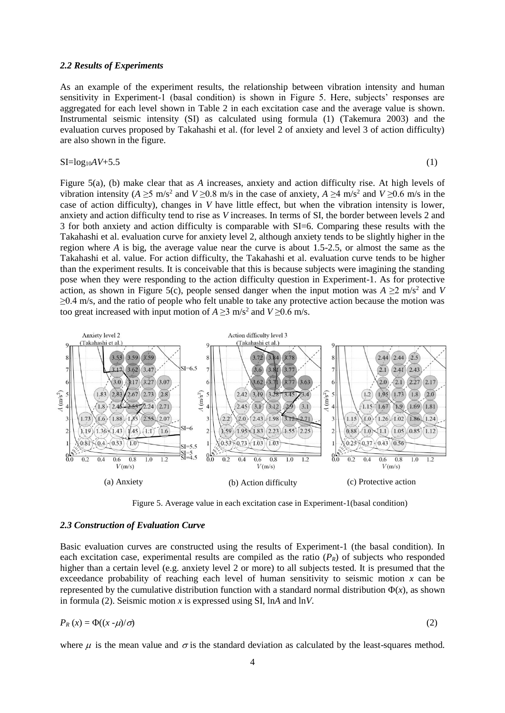#### *2.2 Results of Experiments*

As an example of the experiment results, the relationship between vibration intensity and human sensitivity in Experiment-1 (basal condition) is shown in Figure 5. Here, subjects' responses are aggregated for each level shown in Table 2 in each excitation case and the average value is shown. Instrumental seismic intensity (SI) as calculated using formula (1) (Takemura 2003) and the evaluation curves proposed by Takahashi et al. (for level 2 of anxiety and level 3 of action difficulty) are also shown in the figure.

## $SI = log_{10}AV + 5.5$

$$
(1)
$$

Figure 5(a), (b) make clear that as *A* increases, anxiety and action difficulty rise. At high levels of vibration intensity ( $A \ge 5$  m/s<sup>2</sup> and  $V \ge 0.8$  m/s in the case of anxiety,  $A \ge 4$  m/s<sup>2</sup> and  $V \ge 0.6$  m/s in the case of action difficulty), changes in *V* have little effect, but when the vibration intensity is lower, anxiety and action difficulty tend to rise as *V* increases. In terms of SI, the border between levels 2 and 3 for both anxiety and action difficulty is comparable with SI=6. Comparing these results with the Takahashi et al. evaluation curve for anxiety level 2, although anxiety tends to be slightly higher in the region where *A* is big, the average value near the curve is about 1.5-2.5, or almost the same as the Takahashi et al. value. For action difficulty, the Takahashi et al. evaluation curve tends to be higher than the experiment results. It is conceivable that this is because subjects were imagining the standing pose when they were responding to the action difficulty question in Experiment-1. As for protective action, as shown in Figure 5(c), people sensed danger when the input motion was  $A \geq 2$  m/s<sup>2</sup> and *V*  $\geq$ 0.4 m/s, and the ratio of people who felt unable to take any protective action because the motion was too great increased with input motion of  $A \ge 3$  m/s<sup>2</sup> and  $V \ge 0.6$  m/s.



Figure 5. Average value in each excitation case in Experiment-1(basal condition)

#### *2.3 Construction of Evaluation Curve*

Basic evaluation curves are constructed using the results of Experiment-1 (the basal condition). In each excitation case, experimental results are compiled as the ratio (*PR*) of subjects who responded higher than a certain level (e.g. anxiety level 2 or more) to all subjects tested. It is presumed that the exceedance probability of reaching each level of human sensitivity to seismic motion  $x$  can be represented by the cumulative distribution function with a standard normal distribution  $\Phi(x)$ , as shown in formula (2). Seismic motion *x* is expressed using SI, ln*A* and ln*V*.

$$
P_R(x) = \Phi((x - \mu)/\sigma) \tag{2}
$$

where  $\mu$  is the mean value and  $\sigma$  is the standard deviation as calculated by the least-squares method.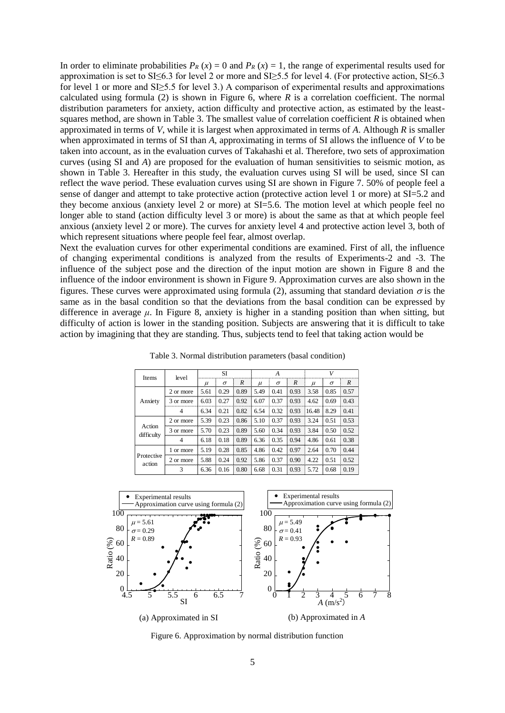In order to eliminate probabilities  $P_R(x) = 0$  and  $P_R(x) = 1$ , the range of experimental results used for approximation is set to SI $\leq$ 6.3 for level 2 or more and SI $\geq$ 5.5 for level 4. (For protective action, SI $\leq$ 6.3 for level 1 or more and SI≥5.5 for level 3.) A comparison of experimental results and approximations calculated using formula  $(2)$  is shown in Figure 6, where *R* is a correlation coefficient. The normal distribution parameters for anxiety, action difficulty and protective action, as estimated by the leastsquares method, are shown in Table 3. The smallest value of correlation coefficient *R* is obtained when approximated in terms of *V*, while it is largest when approximated in terms of *A*. Although *R* is smaller when approximated in terms of SI than *A*, approximating in terms of SI allows the influence of *V* to be taken into account, as in the evaluation curves of Takahashi et al. Therefore, two sets of approximation curves (using SI and *A*) are proposed for the evaluation of human sensitivities to seismic motion, as shown in Table 3. Hereafter in this study, the evaluation curves using SI will be used, since SI can reflect the wave period. These evaluation curves using SI are shown in Figure 7. 50% of people feel a sense of danger and attempt to take protective action (protective action level 1 or more) at SI=5.2 and they become anxious (anxiety level 2 or more) at SI=5.6. The motion level at which people feel no longer able to stand (action difficulty level 3 or more) is about the same as that at which people feel anxious (anxiety level 2 or more). The curves for anxiety level 4 and protective action level 3, both of which represent situations where people feel fear, almost overlap.

Next the evaluation curves for other experimental conditions are examined. First of all, the influence of changing experimental conditions is analyzed from the results of Experiments-2 and -3. The influence of the subject pose and the direction of the input motion are shown in Figure 8 and the influence of the indoor environment is shown in Figure 9. Approximation curves are also shown in the figures. These curves were approximated using formula (2), assuming that standard deviation  $\sigma$  is the same as in the basal condition so that the deviations from the basal condition can be expressed by difference in average  $\mu$ . In Figure 8, anxiety is higher in a standing position than when sitting, but difficulty of action is lower in the standing position. Subjects are answering that it is difficult to take action by imagining that they are standing. Thus, subjects tend to feel that taking action would be

 Table 3. Normal distribution parameters (basal condition)

| Items                | level         | SI    |          |      | A     |          |      | V     |          |                  |
|----------------------|---------------|-------|----------|------|-------|----------|------|-------|----------|------------------|
|                      |               | $\mu$ | $\sigma$ | R    | $\mu$ | $\sigma$ | R    | $\mu$ | $\sigma$ | $\boldsymbol{R}$ |
|                      | 2 or more     | 5.61  | 0.29     | 0.89 | 5.49  | 0.41     | 0.93 | 3.58  | 0.85     | 0.57             |
| Anxiety              | 3 or more     | 6.03  | 0.27     | 0.92 | 6.07  | 0.37     | 0.93 | 4.62  | 0.69     | 0.43             |
|                      | 4             | 6.34  | 0.21     | 0.82 | 6.54  | 0.32     | 0.93 | 16.48 | 8.29     | 0.41             |
| Action<br>difficulty | 2 or more     | 5.39  | 0.23     | 0.86 | 5.10  | 0.37     | 0.93 | 3.24  | 0.51     | 0.53             |
|                      | 3 or more     | 5.70  | 0.23     | 0.89 | 5.60  | 0.34     | 0.93 | 3.84  | 0.50     | 0.52             |
|                      | 4             | 6.18  | 0.18     | 0.89 | 6.36  | 0.35     | 0.94 | 4.86  | 0.61     | 0.38             |
|                      | 1 or more     | 5.19  | 0.28     | 0.85 | 4.86  | 0.42     | 0.97 | 2.64  | 0.70     | 0.44             |
| Protective<br>action | 2 or more     | 5.88  | 0.24     | 0.92 | 5.86  | 0.37     | 0.90 | 4.22  | 0.51     | 0.52             |
|                      | $\mathcal{R}$ | 6.36  | 0.16     | 0.80 | 6.68  | 0.31     | 0.93 | 5.72  | 0.68     | 0.19             |



Figure 6. Approximation by normal distribution function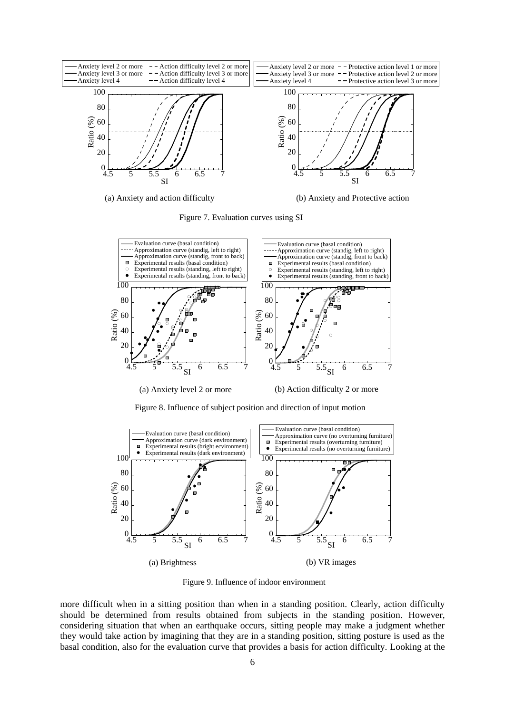

Figure 7. Evaluation curves using SI



(a) Anxiety level 2 or more (b) Action difficulty 2 or more

Figure 8. Influence of subject position and direction of input motion



Figure 9. Influence of indoor environment

more difficult when in a sitting position than when in a standing position. Clearly, action difficulty should be determined from results obtained from subjects in the standing position. However, considering situation that when an earthquake occurs, sitting people may make a judgment whether they would take action by imagining that they are in a standing position, sitting posture is used as the basal condition, also for the evaluation curve that provides a basis for action difficulty. Looking at the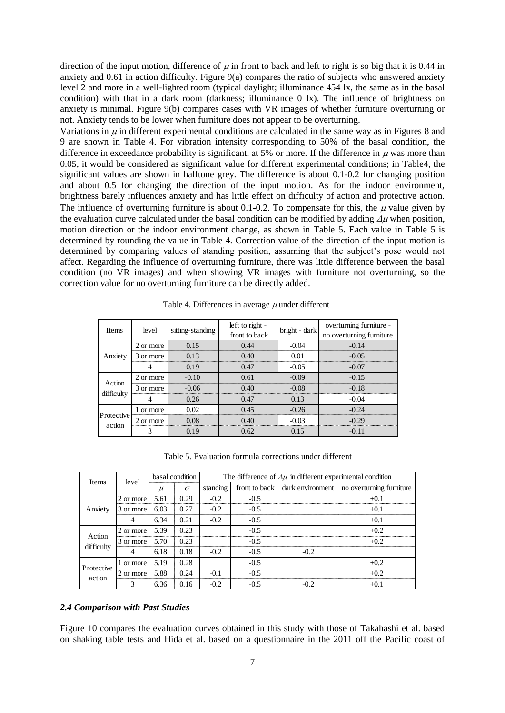direction of the input motion, difference of  $\mu$  in front to back and left to right is so big that it is 0.44 in anxiety and 0.61 in action difficulty. Figure 9(a) compares the ratio of subjects who answered anxiety level 2 and more in a well-lighted room (typical daylight; illuminance 454 lx, the same as in the basal condition) with that in a dark room (darkness; illuminance 0 lx). The influence of brightness on anxiety is minimal. Figure 9(b) compares cases with VR images of whether furniture overturning or not. Anxiety tends to be lower when furniture does not appear to be overturning.

Variations in  $\mu$  in different experimental conditions are calculated in the same way as in Figures 8 and 9 are shown in Table 4. For vibration intensity corresponding to 50% of the basal condition, the difference in exceedance probability is significant, at 5% or more. If the difference in  $\mu$  was more than 0.05, it would be considered as significant value for different experimental conditions; in Table4, the significant values are shown in halftone grey. The difference is about 0.1-0.2 for changing position and about 0.5 for changing the direction of the input motion. As for the indoor environment, brightness barely influences anxiety and has little effect on difficulty of action and protective action. The influence of overturning furniture is about 0.1-0.2. To compensate for this, the  $\mu$  value given by the evaluation curve calculated under the basal condition can be modified by adding  $\Delta u$  when position, motion direction or the indoor environment change, as shown in Table 5. Each value in Table 5 is determined by rounding the value in Table 4. Correction value of the direction of the input motion is determined by comparing values of standing position, assuming that the subject's pose would not affect. Regarding the influence of overturning furniture, there was little difference between the basal condition (no VR images) and when showing VR images with furniture not overturning, so the correction value for no overturning furniture can be directly added.

| <b>Items</b>         | level     | sitting-standing | left to right -<br>front to back | bright - dark | overturning furniture -<br>no overturning furniture |  |
|----------------------|-----------|------------------|----------------------------------|---------------|-----------------------------------------------------|--|
|                      | 2 or more | 0.15             | 0.44                             | $-0.04$       | -0.14                                               |  |
| Anxiety              | 3 or more | 0.13             | 0.40                             | 0.01          | $-0.05$                                             |  |
|                      |           | 0.19             | 0.47                             | $-0.05$       | $-0.07$                                             |  |
| Action<br>difficulty | 2 or more | $-0.10$          | 0.61                             | $-0.09$       | $-0.15$                                             |  |
|                      | 3 or more | $-0.06$          | 0.40                             | $-0.08$       | $-0.18$                                             |  |
|                      |           | 0.26             | 0.47                             | 0.13          | $-0.04$                                             |  |
| Protective<br>action | 1 or more | 0 <sub>0</sub>   | 0 45                             | $-0.26$       | -0.24                                               |  |
|                      | 2 or more | 0.08             | 0.40                             | -0.03         | -0.29                                               |  |
|                      |           | 0.19             | 0.62                             | 0.15          | $-0.11$                                             |  |

Table 4. Differences in average  $\mu$  under different

Table 5. Evaluation formula corrections under different

| <b>Items</b>         | level     | basal condition |          | The difference of $\Delta \mu$ in different experimental condition |               |        |                                           |  |
|----------------------|-----------|-----------------|----------|--------------------------------------------------------------------|---------------|--------|-------------------------------------------|--|
|                      |           | $\mu$           | $\sigma$ | standing                                                           | front to back |        | dark environment no overturning furniture |  |
|                      | 2 or more | 5.61            | 0.29     | $-0.2$                                                             | $-0.5$        |        | $+0.1$                                    |  |
| Anxiety              | 3 or more | 6.03            | 0.27     | $-0.2$                                                             | $-0.5$        |        | $+0.1$                                    |  |
|                      |           | 6.34            | 0.21     | $-0.2$                                                             | $-0.5$        |        | $+0.1$                                    |  |
| Action<br>difficulty | 2 or more | 5.39            | 0.23     |                                                                    | $-0.5$        |        | $+0.2$                                    |  |
|                      | 3 or more | 5.70            | 0.23     |                                                                    | $-0.5$        |        | $+0.2$                                    |  |
|                      |           | 6.18            | 0.18     | $-0.2$                                                             | $-0.5$        | $-0.2$ |                                           |  |
| Protective<br>action | l or more | 5.19            | 0.28     |                                                                    | $-0.5$        |        | $+0.2$                                    |  |
|                      | 2 or more | 5.88            | 0.24     | $-0.1$                                                             | $-0.5$        |        | $+0.2$                                    |  |
|                      |           | 6.36            | 0.16     | $-0.2$                                                             | $-0.5$        | $-0.2$ | $+0.1$                                    |  |

### *2.4 Comparison with Past Studies*

Figure 10 compares the evaluation curves obtained in this study with those of Takahashi et al. based on shaking table tests and Hida et al. based on a questionnaire in the 2011 off the Pacific coast of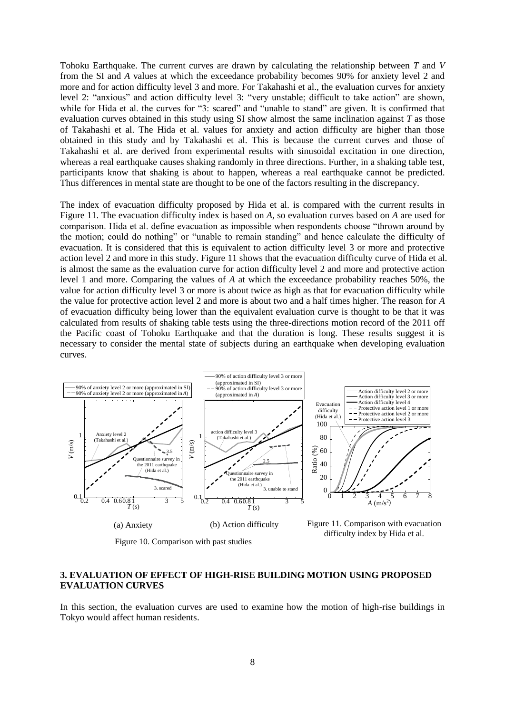Tohoku Earthquake. The current curves are drawn by calculating the relationship between *T* and *V* from the SI and *A* values at which the exceedance probability becomes 90% for anxiety level 2 and more and for action difficulty level 3 and more. For Takahashi et al., the evaluation curves for anxiety level 2: "anxious" and action difficulty level 3: "very unstable; difficult to take action" are shown, while for Hida et al. the curves for "3: scared" and "unable to stand" are given. It is confirmed that evaluation curves obtained in this study using SI show almost the same inclination against *T* as those of Takahashi et al. The Hida et al. values for anxiety and action difficulty are higher than those obtained in this study and by Takahashi et al. This is because the current curves and those of Takahashi et al. are derived from experimental results with sinusoidal excitation in one direction, whereas a real earthquake causes shaking randomly in three directions. Further, in a shaking table test, participants know that shaking is about to happen, whereas a real earthquake cannot be predicted. Thus differences in mental state are thought to be one of the factors resulting in the discrepancy.

The index of evacuation difficulty proposed by Hida et al. is compared with the current results in Figure 11. The evacuation difficulty index is based on *A*, so evaluation curves based on *A* are used for comparison. Hida et al. define evacuation as impossible when respondents choose "thrown around by the motion; could do nothing" or "unable to remain standing" and hence calculate the difficulty of evacuation. It is considered that this is equivalent to action difficulty level 3 or more and protective action level 2 and more in this study. Figure 11 shows that the evacuation difficulty curve of Hida et al. is almost the same as the evaluation curve for action difficulty level 2 and more and protective action level 1 and more. Comparing the values of *A* at which the exceedance probability reaches 50%, the value for action difficulty level 3 or more is about twice as high as that for evacuation difficulty while the value for protective action level 2 and more is about two and a half times higher. The reason for *A* of evacuation difficulty being lower than the equivalent evaluation curve is thought to be that it was calculated from results of shaking table tests using the three-directions motion record of the 2011 off the Pacific coast of Tohoku Earthquake and that the duration is long. These results suggest it is necessary to consider the mental state of subjects during an earthquake when developing evaluation curves.



Figure 10. Comparison with past studies

Figure 11. Comparison with evacuation

## **3. EVALUATION OF EFFECT OF HIGH-RISE BUILDING MOTION USING PROPOSED EVALUATION CURVES**

In this section, the evaluation curves are used to examine how the motion of high-rise buildings in Tokyo would affect human residents.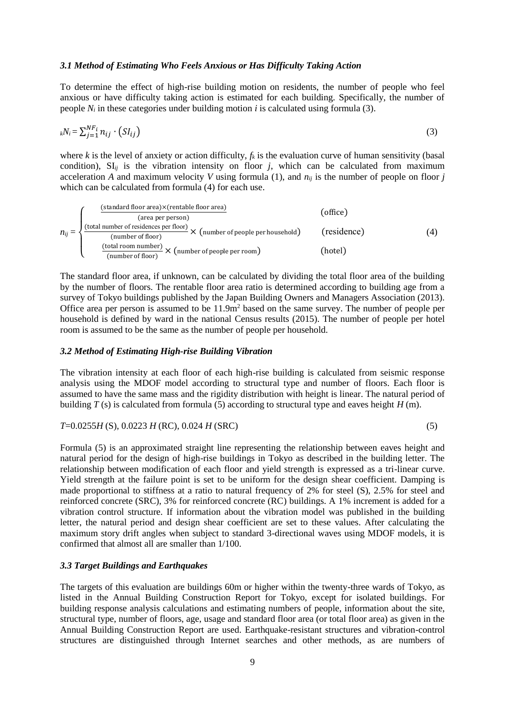### *3.1 Method of Estimating Who Feels Anxious or Has Difficulty Taking Action*

To determine the effect of high-rise building motion on residents, the number of people who feel anxious or have difficulty taking action is estimated for each building. Specifically, the number of people *N<sup>i</sup>* in these categories under building motion *i* is calculated using formula (3).

$$
_{k}N_{i} = \sum_{j=1}^{NF_{i}} n_{ij} \cdot (SI_{ij})
$$
\n
$$
(3)
$$

where *k* is the level of anxiety or action difficulty,  $f_k$  is the evaluation curve of human sensitivity (basal condition),  $SI_{ii}$  is the vibration intensity on floor *j*, which can be calculated from maximum acceleration *A* and maximum velocity *V* using formula (1), and  $n_{ij}$  is the number of people on floor *j* which can be calculated from formula (4) for each use.

$$
n_{ij} = \n\begin{cases}\n\frac{\text{(standard floor area)} \times \text{(rentable floor area)}}{\text{(area per person)}} & \text{(office)} \\
\frac{\text{(total number of residues per floor)}}{\text{(number of floor)}} \times \text{(number of people per household)} & \text{(residence)} \\
\frac{\text{(total room number)}}{\text{(number of floor)}} \times \text{(number of people per room)} & \text{(hotel)}\n\end{cases}\n\tag{4}
$$

The standard floor area, if unknown, can be calculated by dividing the total floor area of the building by the number of floors. The rentable floor area ratio is determined according to building age from a survey of Tokyo buildings published by the Japan Building Owners and Managers Association (2013). Office area per person is assumed to be  $11.9m<sup>2</sup>$  based on the same survey. The number of people per household is defined by ward in the national Census results (2015). The number of people per hotel room is assumed to be the same as the number of people per household.

### *3.2 Method of Estimating High-rise Building Vibration*

The vibration intensity at each floor of each high-rise building is calculated from seismic response analysis using the MDOF model according to structural type and number of floors. Each floor is assumed to have the same mass and the rigidity distribution with height is linear. The natural period of building *T* (s) is calculated from formula (5) according to structural type and eaves height *H* (m).

$$
T=0.0255H(S), 0.0223H(RC), 0.024H(SRC)
$$
\n
$$
(5)
$$

Formula (5) is an approximated straight line representing the relationship between eaves height and natural period for the design of high-rise buildings in Tokyo as described in the building letter. The relationship between modification of each floor and yield strength is expressed as a tri-linear curve. Yield strength at the failure point is set to be uniform for the design shear coefficient. Damping is made proportional to stiffness at a ratio to natural frequency of 2% for steel (S), 2.5% for steel and reinforced concrete (SRC), 3% for reinforced concrete (RC) buildings. A 1% increment is added for a vibration control structure. If information about the vibration model was published in the building letter, the natural period and design shear coefficient are set to these values. After calculating the maximum story drift angles when subject to standard 3-directional waves using MDOF models, it is confirmed that almost all are smaller than 1/100.

## *3.3 Target Buildings and Earthquakes*

The targets of this evaluation are buildings 60m or higher within the twenty-three wards of Tokyo, as listed in the Annual Building Construction Report for Tokyo, except for isolated buildings. For building response analysis calculations and estimating numbers of people, information about the site, structural type, number of floors, age, usage and standard floor area (or total floor area) as given in the Annual Building Construction Report are used. Earthquake-resistant structures and vibration-control structures are distinguished through Internet searches and other methods, as are numbers of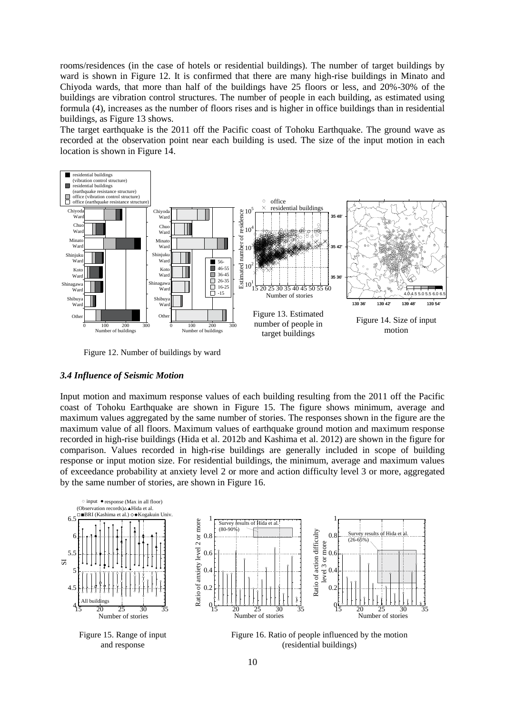rooms/residences (in the case of hotels or residential buildings). The number of target buildings by ward is shown in Figure 12. It is confirmed that there are many high-rise buildings in Minato and Chiyoda wards, that more than half of the buildings have 25 floors or less, and 20%-30% of the buildings are vibration control structures. The number of people in each building, as estimated using formula (4), increases as the number of floors rises and is higher in office buildings than in residential buildings, as Figure 13 shows.

The target earthquake is the 2011 off the Pacific coast of Tohoku Earthquake. The ground wave as recorded at the observation point near each building is used. The size of the input motion in each location is shown in Figure 14.



Figure 12. Number of buildings by ward

#### *3.4 Influence of Seismic Motion*

Input motion and maximum response values of each building resulting from the 2011 off the Pacific coast of Tohoku Earthquake are shown in Figure 15. The figure shows minimum, average and maximum values aggregated by the same number of stories. The responses shown in the figure are the maximum value of all floors. Maximum values of earthquake ground motion and maximum response recorded in high-rise buildings (Hida et al. 2012b and Kashima et al. 2012) are shown in the figure for comparison. Values recorded in high-rise buildings are generally included in scope of building response or input motion size. For residential buildings, the minimum, average and maximum values of exceedance probability at anxiety level 2 or more and action difficulty level 3 or more, aggregated by the same number of stories, are shown in Figure 16.

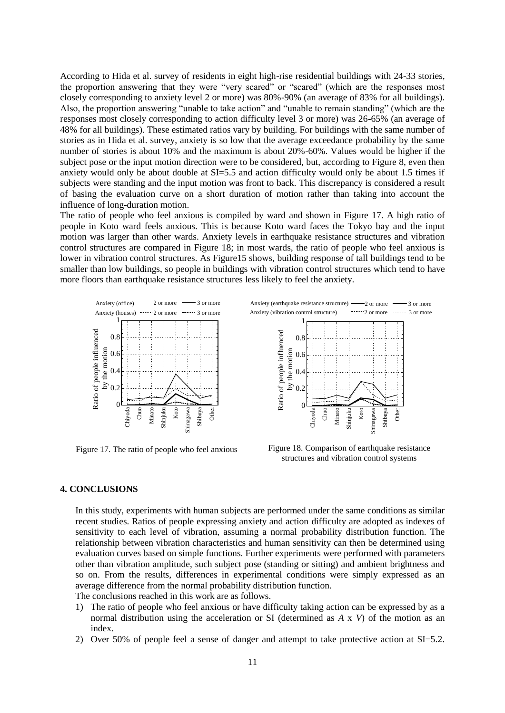According to Hida et al. survey of residents in eight high-rise residential buildings with 24-33 stories, the proportion answering that they were "very scared" or "scared" (which are the responses most closely corresponding to anxiety level 2 or more) was 80%-90% (an average of 83% for all buildings). Also, the proportion answering "unable to take action" and "unable to remain standing" (which are the responses most closely corresponding to action difficulty level 3 or more) was 26-65% (an average of 48% for all buildings). These estimated ratios vary by building. For buildings with the same number of stories as in Hida et al. survey, anxiety is so low that the average exceedance probability by the same number of stories is about 10% and the maximum is about 20%-60%. Values would be higher if the subject pose or the input motion direction were to be considered, but, according to Figure 8, even then anxiety would only be about double at SI=5.5 and action difficulty would only be about 1.5 times if subjects were standing and the input motion was front to back. This discrepancy is considered a result of basing the evaluation curve on a short duration of motion rather than taking into account the influence of long-duration motion.

The ratio of people who feel anxious is compiled by ward and shown in Figure 17. A high ratio of people in Koto ward feels anxious. This is because Koto ward faces the Tokyo bay and the input motion was larger than other wards. Anxiety levels in earthquake resistance structures and vibration control structures are compared in Figure 18; in most wards, the ratio of people who feel anxious is lower in vibration control structures. As Figure15 shows, building response of tall buildings tend to be smaller than low buildings, so people in buildings with vibration control structures which tend to have more floors than earthquake resistance structures less likely to feel the anxiety.



Figure 17. The ratio of people who feel anxious



Figure 18. Comparison of earthquake resistance structures and vibration control systems

#### **4. CONCLUSIONS**

In this study, experiments with human subjects are performed under the same conditions as similar recent studies. Ratios of people expressing anxiety and action difficulty are adopted as indexes of sensitivity to each level of vibration, assuming a normal probability distribution function. The relationship between vibration characteristics and human sensitivity can then be determined using evaluation curves based on simple functions. Further experiments were performed with parameters other than vibration amplitude, such subject pose (standing or sitting) and ambient brightness and so on. From the results, differences in experimental conditions were simply expressed as an average difference from the normal probability distribution function.

The conclusions reached in this work are as follows.

- 1) The ratio of people who feel anxious or have difficulty taking action can be expressed by as a normal distribution using the acceleration or SI (determined as *A* x *V*) of the motion as an index.
- 2) Over 50% of people feel a sense of danger and attempt to take protective action at SI=5.2.